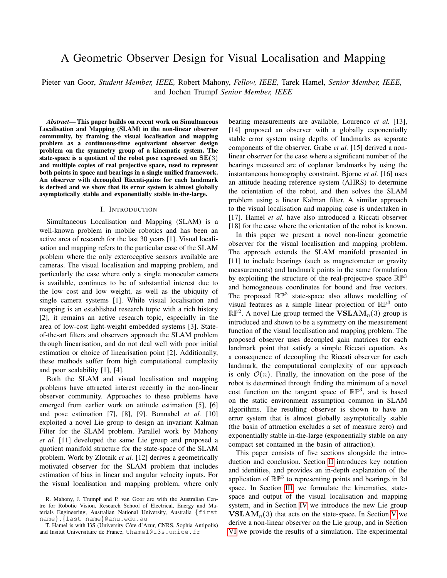# A Geometric Observer Design for Visual Localisation and Mapping

Pieter van Goor, *Student Member, IEEE,* Robert Mahony, *Fellow, IEEE,* Tarek Hamel, *Senior Member, IEEE,* and Jochen Trumpf *Senior Member, IEEE*

*Abstract*— This paper builds on recent work on Simultaneous Localisation and Mapping (SLAM) in the non-linear observer community, by framing the visual localisation and mapping problem as a continuous-time equivariant observer design problem on the symmetry group of a kinematic system. The state-space is a quotient of the robot pose expressed on  $SE(3)$ and multiple copies of real projective space, used to represent both points in space and bearings in a single unified framework. An observer with decoupled Riccati-gains for each landmark is derived and we show that its error system is almost globally asymptotically stable and exponentially stable in-the-large.

#### I. INTRODUCTION

Simultaneous Localisation and Mapping (SLAM) is a well-known problem in mobile robotics and has been an active area of research for the last 30 years [1]. Visual localisation and mapping refers to the particular case of the SLAM problem where the only exteroceptive sensors available are cameras. The visual localisation and mapping problem, and particularly the case where only a single monocular camera is available, continues to be of substantial interest due to the low cost and low weight, as well as the ubiquity of single camera systems [1]. While visual localisation and mapping is an established research topic with a rich history [2], it remains an active research topic, especially in the area of low-cost light-weight embedded systems [3]. Stateof-the-art filters and observers approach the SLAM problem through linearisation, and do not deal well with poor initial estimation or choice of linearisation point [2]. Additionally, these methods suffer from high computational complexity and poor scalability [1], [4].

Both the SLAM and visual localisation and mapping problems have attracted interest recently in the non-linear observer community. Approaches to these problems have emerged from earlier work on attitude estimation [5], [6] and pose estimation [7], [8], [9]. Bonnabel *et al.* [10] exploited a novel Lie group to design an invariant Kalman Filter for the SLAM problem. Parallel work by Mahony *et al.* [11] developed the same Lie group and proposed a quotient manifold structure for the state-space of the SLAM problem. Work by Zlotnik *et al.* [12] derives a geometrically motivated observer for the SLAM problem that includes estimation of bias in linear and angular velocity inputs. For the visual localisation and mapping problem, where only bearing measurements are available, Lourenco *et al.* [13], [14] proposed an observer with a globally exponentially stable error system using depths of landmarks as separate components of the observer. Grabe *et al.* [15] derived a nonlinear observer for the case where a significant number of the bearings measured are of coplanar landmarks by using the instantaneous homography constraint. Bjorne *et al.* [16] uses an attitude heading reference system (AHRS) to determine the orientation of the robot, and then solves the SLAM problem using a linear Kalman filter. A similar approach to the visual localisation and mapping case is undertaken in [17]. Hamel *et al.* have also introduced a Riccati observer [18] for the case where the orientation of the robot is known.

In this paper we present a novel non-linear geometric observer for the visual localisation and mapping problem. The approach extends the SLAM manifold presented in [11] to include bearings (such as magnetometer or gravity measurements) and landmark points in the same formulation by exploiting the structure of the real-projective space  $\mathbb{RP}^3$ and homogeneous coordinates for bound and free vectors. The proposed  $\mathbb{RP}^3$  state-space also allows modelling of visual features as a simple linear projection of  $\mathbb{RP}^3$  onto  $\mathbb{RP}^2$ . A novel Lie group termed the  $\mathbf{VSLAM}_n(3)$  group is introduced and shown to be a symmetry on the measurement function of the visual localisation and mapping problem. The proposed observer uses decoupled gain matrices for each landmark point that satisfy a simple Riccati equation. As a consequence of decoupling the Riccati observer for each landmark, the computational complexity of our approach is only  $\mathcal{O}(n)$ . Finally, the innovation on the pose of the robot is determined through finding the minimum of a novel cost function on the tangent space of  $\mathbb{RP}^3$ , and is based on the static environment assumption common in SLAM algorithms. The resulting observer is shown to have an error system that is almost globally asymptotically stable (the basin of attraction excludes a set of measure zero) and exponentially stable in-the-large (exponentially stable on any compact set contained in the basin of attraction).

This paper consists of five sections alongside the introduction and conclusion. Section [II](#page-1-0) introduces key notation and identities, and provides an in-depth explanation of the application of  $\mathbb{RP}^3$  to representing points and bearings in 3d space. In Section [III,](#page-2-0) we formulate the kinematics, statespace and output of the visual localisation and mapping system, and in Section [IV](#page-2-1) we introduce the new Lie group  **that acts on the state-space. In Section [V](#page-4-0) we** derive a non-linear observer on the Lie group, and in Section [VI](#page-5-0) we provide the results of a simulation. The experimental

R. Mahony, J. Trumpf and P. van Goor are with the Australian Centre for Robotic Vision, Research School of Electrical, Energy and Materials Engineering, Australian National University, Australia {first name}.{last name}@anu.edu.au

T. Hamel is with I3S (University Côte d'Azur, CNRS, Sophia Antipolis) and Insitut Universitaire de France, thamel@i3s.unice.fr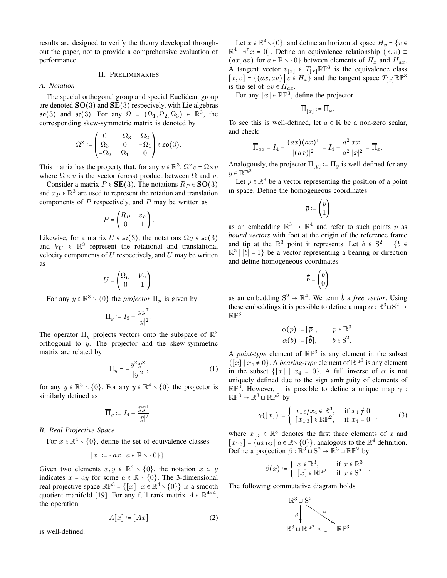results are designed to verify the theory developed throughout the paper, not to provide a comprehensive evaluation of performance.

#### II. PRELIMINARIES

#### <span id="page-1-0"></span>*A. Notation*

The special orthogonal group and special Euclidean group are denoted  $SO(3)$  and  $SE(3)$  respecively, with Lie algebras  $\mathfrak{so}(3)$  and  $\mathfrak{se}(3)$ . For any  $\Omega = (\Omega_1, \Omega_2, \Omega_3) \in \mathbb{R}^3$ , the corresponding skew-symmetric matrix is denoted by

$$
\Omega^\times := \begin{pmatrix} 0 & -\Omega_3 & \Omega_2 \\ \Omega_3 & 0 & -\Omega_1 \\ -\Omega_2 & \Omega_1 & 0 \end{pmatrix} \in \mathfrak{so}(3).
$$

This matrix has the property that, for any  $v \in \mathbb{R}^3$ ,  $\Omega^* v = \Omega \times v$ where  $\Omega \times v$  is the vector (cross) product between  $\Omega$  and v.

Consider a matrix  $P \in SE(3)$ . The notations  $R_P \in SO(3)$ and  $x_P \in \mathbb{R}^3$  are used to represent the rotation and translation components of  $P$  respectively, and  $P$  may be written as

$$
P = \begin{pmatrix} R_P & x_P \\ 0 & 1 \end{pmatrix}.
$$

Likewise, for a matrix  $U \in \mathfrak{se}(3)$ , the notations  $\Omega_U \in \mathfrak{so}(3)$ and  $V_U \in \mathbb{R}^3$  represent the rotational and translational velocity components of  $U$  respectively, and  $U$  may be written as

$$
U = \begin{pmatrix} \Omega_U & V_U \\ 0 & 1 \end{pmatrix}.
$$

For any  $y \in \mathbb{R}^3 \setminus \{0\}$  the *projector*  $\Pi_y$  is given by

$$
\Pi_y \coloneqq I_3 - \frac{yy^\top}{|y|^2}.
$$

The operator  $\Pi_y$  projects vectors onto the subspace of  $\mathbb{R}^3$ orthogonal to y. The projector and the skew-symmetric matrix are related by

$$
\Pi_y = -\frac{y^x y^x}{|y|^2},\tag{1}
$$

for any  $y \in \mathbb{R}^3 \setminus \{0\}$ . For any  $\bar{y} \in \mathbb{R}^4 \setminus \{0\}$  the projector is similarly defined as

$$
\overline{\Pi}_{\bar{y}} \coloneqq I_4 - \frac{\bar{y}\bar{y}^\top}{|\bar{y}|^2}.
$$

*B. Real Projective Space*

For  $x \in \mathbb{R}^4 \setminus \{0\}$ , define the set of equivalence classes

$$
[x] \coloneqq \{ ax \mid a \in \mathbb{R} \smallsetminus \{0\} \}.
$$

Given two elements  $x, y \in \mathbb{R}^4 \setminus \{0\}$ , the notation  $x \approx y$ indicates  $x = ay$  for some  $a \in \mathbb{R} \setminus \{0\}$ . The 3-dimensional real-projective space  $\mathbb{RP}^3 = \{ [x] \mid x \in \mathbb{R}^4 \setminus \{0\} \}$  is a smooth quotient manifold [19]. For any full rank matrix  $A \in \mathbb{R}^{4 \times 4}$ , the operation

$$
A[x] \coloneqq [Ax] \tag{2}
$$

is well-defined.

Let  $x \in \mathbb{R}^4 \setminus \{0\}$ , and define an horizontal space  $H_x = \{v \in \mathbb{R}^4 \mid v \in \mathbb{R}\}$  $\mathbb{R}^4 \mid v^\top x = 0$ . Define an equivalence relationship  $(x, v) =$  $(ax, av)$  for  $a \in \mathbb{R} \setminus \{0\}$  between elements of  $H_x$  and  $H_{ax}$ . A tangent vector  $v_{[x]} \in T_{[x]} \mathbb{RP}^3$  is the equivalence class  $[x, v] = \{(ax, av) | v \in H_x\}$  and the tangent space  $T_{[x]} \mathbb{R} \mathbb{P}^3$ is the set of  $av \in H_{ax}$ .

For any  $[x] \in \mathbb{RP}^3$ , define the projector

$$
\overline{\Pi}_{[x]} \coloneqq \overline{\Pi}_x.
$$

To see this is well-defined, let  $a \in \mathbb{R}$  be a non-zero scalar, and check

$$
\overline{\Pi}_{ax} = I_4 - \frac{(ax)(ax)^{\top}}{|(ax)|^2} = I_4 - \frac{a^2}{a^2} \frac{xx^{\top}}{|x|^2} = \overline{\Pi}_x.
$$

Analogously, the projector  $\Pi_{[y]} \coloneqq \Pi_y$  is well-defined for any  $y \in \mathbb{RP}^2$ .

Let  $p \in \mathbb{R}^3$  be a vector representing the position of a point in space. Define the homogeneous coordinates

$$
\overline{p} \coloneqq \begin{pmatrix} p \\ 1 \end{pmatrix}
$$

as an embedding  $\mathbb{R}^3 \hookrightarrow \mathbb{R}^4$  and refer to such points  $\bar{p}$  as *bound vectors* with foot at the origin of the reference frame and tip at the  $\mathbb{R}^3$  point it represents. Let  $b \in S^2 = \{b \in S \}$  $\mathbb{R}^3$  | |b| = 1} be a vector representing a bearing or direction and define homogeneous coordinates

$$
\tilde{b} = \begin{pmatrix} b \\ 0 \end{pmatrix}
$$

as an embedding  $S^2 \rightarrow \mathbb{R}^4$ . We term  $\bar{b}$  a *free vector*. Using these embeddings it is possible to define a map  $\alpha : \mathbb{R}^3 \sqcup \mathrm{S}^2 \to$  $\mathbb{RP}^3$ 

$$
\alpha(p) \coloneqq [\overline{p}], \qquad p \in \mathbb{R}^3,
$$
  

$$
\alpha(b) \coloneqq [\overline{b}], \qquad b \in S^2.
$$

<span id="page-1-2"></span>A *point-type* element of  $\mathbb{RP}^3$  is any element in the subset  $\{ [x] | x_4 \neq 0 \}$ . A *bearing-type* element of  $\mathbb{RP}^3$  is any element in the subset  $\{ [x] | x_4 = 0 \}$ . A full inverse of  $\alpha$  is not uniquely defined due to the sign ambiguity of elements of  $\mathbb{RP}^3$ . However, it is possible to define a unique map  $\gamma$ :  $\mathbb{RP}^3 \to \mathbb{R}^3 \sqcup \mathbb{RP}^2$  by

<span id="page-1-3"></span>
$$
\gamma([x]) \coloneqq \begin{cases} x_{1:3}/x_4 \in \mathbb{R}^3, & \text{if } x_4 \neq 0 \\ [x_{1:3}] \in \mathbb{R} \mathbb{P}^2, & \text{if } x_4 = 0 \end{cases}, \tag{3}
$$

where  $x_{1:3} \in \mathbb{R}^3$  denotes the first three elements of x and  $[x_{1:3}] = \{ax_{1:3} \mid a \in \mathbb{R} \setminus \{0\}\}\$ , analogous to the  $\mathbb{R}^4$  definition. Define a projection  $\beta : \mathbb{R}^3 \cup S^2 \to \mathbb{R}^3 \cup \mathbb{RP}^2$  by

$$
\beta(x) \coloneqq \begin{cases} x \in \mathbb{R}^3, & \text{if } x \in \mathbb{R}^3 \\ \left[ x \right] \in \mathbb{R} \mathbb{P}^2 & \text{if } x \in \mathbb{S}^2 \end{cases}.
$$

<span id="page-1-1"></span>The following commutative diagram holds

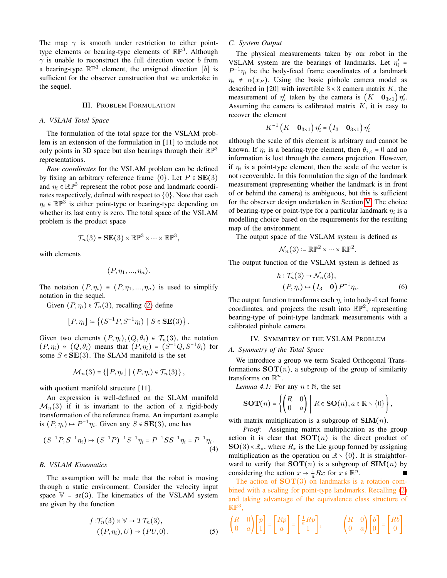The map  $\gamma$  is smooth under restriction to either pointtype elements or bearing-type elements of  $\mathbb{RP}^3$ . Although  $\gamma$  is unable to reconstruct the full direction vector b from a bearing-type  $\mathbb{RP}^3$  element, the unsigned direction [b] is sufficient for the observer construction that we undertake in the sequel.

#### III. PROBLEM FORMULATION

## <span id="page-2-0"></span>*A. VSLAM Total Space*

The formulation of the total space for the VSLAM problem is an extension of the formulation in [11] to include not only points in 3D space but also bearings through their  $\mathbb{RP}^3$ representations.

*Raw coordinates* for the VSLAM problem can be defined by fixing an arbitrary reference frame  $\{0\}$ . Let  $P \in SE(3)$ and  $\eta_i \in \mathbb{RP}^3$  represent the robot pose and landmark coordinates respectively, defined with respect to  $\{0\}$ . Note that each  $\eta_i \in \mathbb{RP}^3$  is either point-type or bearing-type depending on whether its last entry is zero. The total space of the VSLAM problem is the product space

$$
\mathcal{T}_n(3) = \mathbf{SE}(3) \times \mathbb{RP}^3 \times \cdots \times \mathbb{RP}^3,
$$

with elements

$$
(P, \eta_1, \ldots, \eta_n).
$$

The notation  $(P, \eta_i) \equiv (P, \eta_1, ..., \eta_n)$  is used to simplify notation in the sequel.

Given  $(P, \eta_i) \in \mathcal{T}_n(3)$ , recalling [\(2\)](#page-1-1) define

$$
[P, \eta_i] \coloneqq \left\{ (S^{-1}P, S^{-1}\eta_i) \mid S \in \mathbf{SE}(3) \right\}.
$$

Given two elements  $(P, \eta_i), (Q, \theta_i) \in \mathcal{T}_n(3)$ , the notation  $(P, \eta_i) \simeq (Q, \theta_i)$  means that  $(P, \eta_i) = (S^{-1}Q, S^{-1}\theta_i)$  for some  $S \in SE(3)$ . The SLAM manifold is the set

$$
\mathcal{M}_n(3) = \{ [P, \eta_i] \mid (P, \eta_i) \in \mathcal{T}_n(3) \},
$$

with quotient manifold structure [11].

An expression is well-defined on the SLAM manifold  $\mathcal{M}_n(3)$  if it is invariant to the action of a rigid-body transformation of the reference frame. An important example is  $(P, \eta_i) \mapsto P^{-1} \eta_i$ . Given any  $S \in \mathbf{SE}(3)$ , one has

$$
(S^{-1}P, S^{-1}\eta_i) \mapsto (S^{-1}P)^{-1}S^{-1}\eta_i = P^{-1}SS^{-1}\eta_i = P^{-1}\eta_i.
$$
\n(4)

## *B. VSLAM Kinematics*

The assumption will be made that the robot is moving through a static environment. Consider the velocity input space  $V = \mathfrak{se}(3)$ . The kinematics of the VSLAM system are given by the function

$$
f: \mathcal{T}_n(3) \times \mathbb{V} \to T\mathcal{T}_n(3),
$$
  

$$
((P, \eta_i), U) \mapsto (PU, 0).
$$
 (5)

## *C. System Output*

The physical measurements taken by our robot in the VSLAM system are the bearings of landmarks. Let  $\eta_i'$  =  $P^{-1}\eta_i$  be the body-fixed frame coordinates of a landmark  $\eta_i \neq \alpha(x_P)$ . Using the basic pinhole camera model as described in [20] with invertible  $3 \times 3$  camera matrix K, the measurement of  $\eta'_i$  taken by the camera is  $(K \mathbf{0}_{3 \times 1}) \eta'_i$ . Assuming the camera is calibrated matrix  $K$ , it is easy to recover the element

$$
K^{-1}(K \mathbf{0}_{3\times 1}) \eta_i' = (I_3 \mathbf{0}_{3\times 1}) \eta_i'
$$

although the scale of this element is arbitrary and cannot be known. If  $\eta_i$  is a bearing-type element, then  $\theta_{i,4} = 0$  and no information is lost through the camera projection. However, if  $\eta_i$  is a point-type element, then the scale of the vector is not recoverable. In this formulation the sign of the landmark measurement (representing whether the landmark is in front of or behind the camera) is ambiguous, but this is sufficient for the observer design undertaken in Section [V.](#page-4-0) The choice of bearing-type or point-type for a particular landmark  $\eta_i$  is a modelling choice based on the requirements for the resulting map of the environment.

The output space of the VSLAM system is defined as

$$
\mathcal{N}_n(3) \coloneqq \mathbb{RP}^2 \times \cdots \times \mathbb{RP}^2.
$$

The output function of the VSLAM system is defined as

$$
h: \mathcal{T}_n(3) \to \mathcal{N}_n(3),
$$
  
\n
$$
(P, \eta_i) \mapsto (I_3 \quad \mathbf{0}) P^{-1} \eta_i.
$$
\n(6)

The output function transforms each  $\eta_i$  into body-fixed frame coordinates, and projects the result into  $\mathbb{RP}^2$ , representing bearing-type of point-type landmark measurements with a calibrated pinhole camera.

#### IV. SYMMETRY OF THE VSLAM PROBLEM

## <span id="page-2-1"></span>*A. Symmetry of the Total Space*

We introduce a group we term Scaled Orthogonal Transformations  $SOT(n)$ , a subgroup of the group of similarity transforms on  $\mathbb{R}^n$ .

*Lemma 4.1:* For any  $n \in \mathbb{N}$ , the set

$$
\text{SOT}(n) = \left\{ \begin{pmatrix} R & 0 \\ 0 & a \end{pmatrix} \middle| R \in \text{SO}(n), a \in \mathbb{R} \setminus \{0\} \right\},\
$$

with matrix multiplication is a subgroup of  $\text{SIM}(n)$ .

*Proof:* Assigning matrix multiplication as the group action it is clear that  $SOT(n)$  is the direct product of  $SO(3) \times \mathbb{R}_*$ , where  $R_*$  is the Lie group formed by assigning multiplication as the operation on  $\mathbb{R} \setminus \{0\}$ . It is straightforward to verify that  $SOT(n)$  is a subgroup of  $SIM(n)$  by considering the action  $x \mapsto \frac{1}{a}Rx$  for  $x \in \mathbb{R}^n$ . П

The action of  $SOT(3)$  on landmarks is a rotation combined with a scaling for point-type landmarks. Recalling [\(2\)](#page-1-1) and taking advantage of the equivalence class structure of  $\mathbb{RP}^3$ ,

<span id="page-2-2"></span>
$$
\begin{pmatrix} R & 0 \\ 0 & a \end{pmatrix} \begin{bmatrix} p \\ 1 \end{bmatrix} = \begin{bmatrix} Rp \\ a \end{bmatrix} = \begin{bmatrix} \frac{1}{a}Rp \\ 1 \end{bmatrix}, \qquad \begin{pmatrix} R & 0 \\ 0 & a \end{pmatrix} \begin{bmatrix} b \\ 0 \end{bmatrix} = \begin{bmatrix} Rb \\ 0 \end{bmatrix}.
$$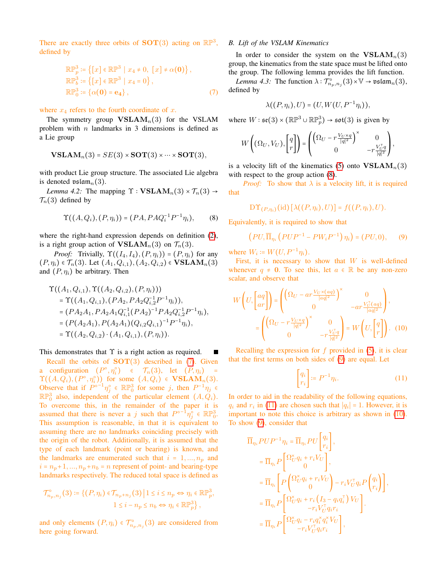There are exactly three orbits of **SOT**(3) acting on  $\mathbb{RP}^3$ , defined by

$$
\mathbb{RP}_p^3 \coloneqq \left\{ [x] \in \mathbb{RP}^3 \mid x_4 \neq 0, [x] \neq \alpha(\mathbf{0}) \right\},
$$
  
\n
$$
\mathbb{RP}_b^3 \coloneqq \left\{ [x] \in \mathbb{RP}^3 \mid x_4 = 0 \right\},
$$
  
\n
$$
\mathbb{RP}_0^3 \coloneqq \left\{ \alpha(\mathbf{0}) = \mathbf{e}_4 \right\},
$$
 (7)

where  $x_4$  refers to the fourth coordinate of x.

The symmetry group  **for the VSLAM** problem with  $n$  landmarks in 3 dimensions is defined as a Lie group

$$
\mathbf{VSLAM}_n(3) = SE(3) \times \mathbf{SOT}(3) \times \cdots \times \mathbf{SOT}(3),
$$

with product Lie group structure. The associated Lie algebra is denoted  $\mathfrak{vslam}_n(3)$ .

*Lemma 4.2:* The mapping  $\Upsilon$  :  $\mathbf{VSLAM}_n(3) \times \mathcal{T}_n(3) \rightarrow$  $\mathcal{T}_n(3)$  defined by

$$
\Upsilon((A, Q_i), (P, \eta_i)) = (PA, PAQ_i^{-1}P^{-1}\eta_i), \qquad (8)
$$

where the right-hand expression depends on definition [\(2\)](#page-1-1), is a right group action of  **on**  $\mathcal{T}_n(3)$ **.** 

*Proof:* Trivially,  $\Upsilon((I_4, I_4), (P, \eta_i)) = (P, \eta_i)$  for any  $(P, \eta_i) \in \mathcal{T}_n(3)$ . Let  $(A_1, Q_{i,1}), (A_2, Q_{i,2}) \in \textbf{VSLAM}_n(3)$ and  $(P, \eta_i)$  be arbitrary. Then

$$
\begin{aligned} \Upsilon((A_1, Q_{i,1}), \Upsilon((A_2, Q_{i,2}), (P, \eta_i))) \\ &= \Upsilon((A_1, Q_{i,1}), (PA_2, PA_2Q_{i,2}^{-1}P^{-1}\eta_i)), \\ &= (PA_2A_1, PA_2A_1Q_{i,1}^{-1}(PA_2)^{-1}PA_2Q_{i,2}^{-1}P^{-1}\eta_i), \\ &= (P(A_2A_1), P(A_2A_1)(Q_{i,2}Q_{i,1})^{-1}P^{-1}\eta_i), \\ &= \Upsilon((A_2, Q_{i,2}) \cdot (A_1, Q_{i,1}), (P, \eta_i)). \end{aligned}
$$

This demonstrates that  $\Upsilon$  is a right action as required.

Recall the orbits of  $SOT(3)$  described in [\(7\)](#page-3-0). Given a configuration  $(P^{\circ}, \eta_i^{\circ}) \in \mathcal{T}_n(3)$ , let  $(P, \eta_i)$  =  $\Upsilon((A, Q_i), (P^{\circ}, \eta_i^{\circ}))$  for some  $(A, Q_i) \in \mathbf{VSLAM}_n(3)$ . Observe that if  $P^{\circ-1}\eta_i^{\circ} \in \mathbb{RP}^3_0$  for some j, then  $P^{-1}\eta_j \in$  $\mathbb{RP}_0^3$  also, independent of the particular element  $(A, \tilde{Q}_i)$ . To overcome this, in the remainder of the paper it is assumed that there is never a j such that  $P^{\circ^{-1}}\eta_{j}^{\circ} \in \mathbb{RP}_{0}^{3}$ . This assumption is reasonable, in that it is equivalent to assuming there are no landmarks coinciding precisely with the origin of the robot. Additionally, it is assumed that the type of each landmark (point or bearing) is known, and the landmarks are enumerated such that  $i = 1, ..., n_p$  and  $i = n_p + 1, ..., n_p + n_b = n$  represent of point- and bearing-type landmarks respectively. The reduced total space is defined as

$$
\mathcal{T}_{n_p,n_j}^{\circ}(3) \coloneqq \{ (P,\eta_i) \in \mathcal{T}_{n_p+n_j}(3) \mid 1 \leq i \leq n_p \Leftrightarrow \eta_i \in \mathbb{RP}_p^3, \\ 1 \leq i - n_p \leq n_b \Leftrightarrow \eta_i \in \mathbb{RP}_p^3 \},\
$$

and only elements  $(P, \eta_i) \in \mathcal{T}_{n_p, n_j}^{\circ}(3)$  are considered from here going forward.

## *B. Lift of the VSLAM Kinematics*

In order to consider the system on the  $VSLAM_n(3)$ group, the kinematics from the state space must be lifted onto the group. The following lemma provides the lift function.

<span id="page-3-0"></span>*Lemma 4.3:* The function  $\lambda: \mathcal{T}^{\circ}_{n_p,n_j}(3) \times \mathbb{V} \to \mathfrak{vslam}_n(3)$ , defined by

$$
\lambda((P,\eta_i),U)=(U,W(U,P^{-1}\eta_i)),
$$

where  $W: \mathfrak{se}(3) \times (\mathbb{RP}^3 \cup \mathbb{RP}_p^3) \to \mathfrak{sot}(3)$  is given by

$$
W\left((\Omega_U, V_U), \begin{bmatrix} q \\ r \end{bmatrix}\right) = \begin{pmatrix} \left(\Omega_U - r\frac{V_U \times q}{|q|^2}\right)^\times & 0 \\ 0 & -r\frac{V_U^\top q}{|q|^2} \end{pmatrix},
$$

is a velocity lift of the kinematics [\(5\)](#page-2-2) onto  $$ with respect to the group action  $(8)$ .

*Proof:* To show that  $\lambda$  is a velocity lift, it is required that

<span id="page-3-2"></span>
$$
\mathcal{DT}_{(P,\eta_i)}(\mathrm{id})\left[\lambda((P,\eta_i),U)\right] = f((P,\eta_i),U).
$$

<span id="page-3-1"></span>Equivalently, it is required to show that

$$
(PU, \overline{\Pi}_{\eta_i} (PUP^{-1} - PW_iP^{-1}) \eta_i) = (PU, 0), \qquad (9)
$$

where  $W_i \coloneqq W(U, P^{-1}\eta_i)$ .

First, it is necessary to show that  $W$  is well-defined whenever  $q \neq 0$ . To see this, let  $a \in \mathbb{R}$  be any non-zero scalar, and observe that

$$
W\left(U,\begin{bmatrix}aq\\ar\end{bmatrix}\right) = \begin{pmatrix} \left(\Omega_U - ar\frac{V_U \times (aq)}{|aq|^2}\right)^\times & 0\\ 0 & -ar\frac{V_U^\top (aq)}{|aq|^2} \end{pmatrix},\\ = \begin{pmatrix} \left(\Omega_U - r\frac{V_U \times q}{|q|^2}\right)^\times & 0\\ 0 & -r\frac{V_U^\top q}{|q|^2} \end{pmatrix} = W\left(U,\begin{bmatrix}q\\r\end{bmatrix}\right). \tag{10}
$$

Recalling the expression for  $f$  provided in  $(5)$ , it is clear that the first terms on both sides of [\(9\)](#page-3-2) are equal. Let

<span id="page-3-4"></span><span id="page-3-3"></span>
$$
\begin{bmatrix} q_i \\ r_i \end{bmatrix} := P^{-1} \eta_i.
$$
 (11)

In order to aid in the readability of the following equations,  $q_i$  and  $r_i$  in [\(11\)](#page-3-3) are chosen such that  $|q_i| = 1$ . However, it is important to note this choice is arbitrary as shown in [\(10\)](#page-3-4). To show [\(9\)](#page-3-2), consider that

$$
\overline{\Pi}_{\eta_i} P U P^{-1} \eta_i = \overline{\Pi}_{\eta_i} P U \begin{bmatrix} q_i \\ r_i \end{bmatrix},
$$
\n
$$
= \overline{\Pi}_{\eta_i} P \begin{bmatrix} \Omega_U^{\times} q_i + r_i V_U \\ 0 \end{bmatrix},
$$
\n
$$
= \overline{\Pi}_{\eta_i} \begin{bmatrix} P \begin{pmatrix} \Omega_U^{\times} q_i + r_i V_U \\ 0 \end{pmatrix} - r_i V_U^{\top} q_i P \begin{pmatrix} q_i \\ r_i \end{pmatrix} \end{bmatrix},
$$
\n
$$
= \overline{\Pi}_{\eta_i} P \begin{bmatrix} \Omega_U^{\times} q_i + r_i (I_3 - q_i q_i^{\top}) V_U \\ -r_i V_U^{\top} q_i r_i \end{bmatrix}.
$$
\n
$$
= \overline{\Pi}_{\eta_i} P \begin{bmatrix} \Omega_U^{\times} q_i - r_i q_i^{\times} q_i^{\times} V_U \\ -r_i V_U^{\top} q_i r_i \end{bmatrix},
$$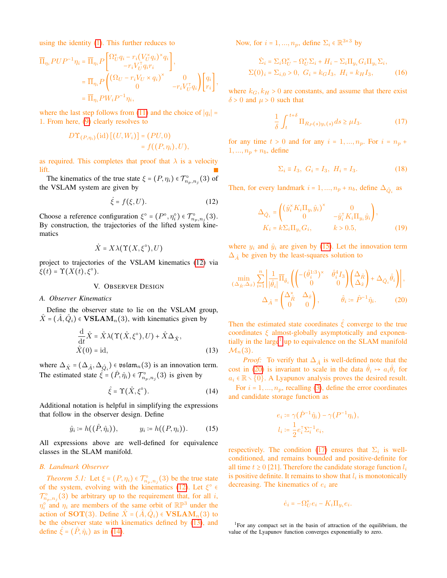using the identity [\(1\)](#page-1-2). This further reduces to

$$
\overline{\Pi}_{\eta_i} P U P^{-1} \eta_i = \overline{\Pi}_{\eta_i} P \begin{bmatrix} \Omega_U^{\times} q_i - r_i (V_U^{\times} q_i)^{\times} q_i \\ -r_i V_U^{\top} q_i r_i \end{bmatrix},
$$
\n
$$
= \overline{\Pi}_{\eta_i} P \begin{pmatrix} (\Omega_U - r_i V_U \times q_i)^{\times} & 0 \\ 0 & -r_i V_U^{\top} q_i \end{pmatrix} \begin{bmatrix} q_i \\ r_i \end{bmatrix},
$$
\n
$$
= \overline{\Pi}_{\eta_i} P W_i P^{-1} \eta_i,
$$

where the last step follows from [\(11\)](#page-3-3) and the choice of  $|q_i|$  = 1. From here, [\(9\)](#page-3-2) clearly resolves to

$$
D\Upsilon_{(P,\eta_i)}(\mathrm{id})\left[(U,W_i)\right] = (PU,0)
$$
  
=  $f((P,\eta_i),U),$ 

as required. This completes that proof that  $\lambda$  is a velocity lift.

The kinematics of the true state  $\xi = (P, \eta_i) \in \mathcal{T}_{n_p, n_j}^{\circ}(3)$  of the VSLAM system are given by

$$
\dot{\xi} = f(\xi, U). \tag{12}
$$

Choose a reference configuration  $\xi^{\circ} = (P^{\circ}, \eta_i^{\circ}) \in \mathcal{T}_{n_p, n_j}^{\circ}(3)$ . By construction, the trajectories of the lifted system kinematics

$$
\dot{X} = X\lambda(\Upsilon(X,\xi^{\circ}),U)
$$

project to trajectories of the VSLAM kinematics [\(12\)](#page-4-1) via  $\xi(t) = \Upsilon(X(t), \xi^{\circ}).$ 

#### V. OBSERVER DESIGN

#### <span id="page-4-0"></span>*A. Observer Kinematics*

Define the observer state to lie on the VSLAM group,  $\hat{X} = (\hat{A}, \hat{Q}_i) \in \mathbf{VSLAM}_n(3)$ , with kinematics given by

$$
\frac{\mathrm{d}}{\mathrm{d}t}\hat{X} = \hat{X}\lambda(\Upsilon(\hat{X},\xi^{\circ}),U) + \hat{X}\Delta_{\hat{X}},
$$
  

$$
\hat{X}(0) = \mathrm{id},
$$
 (13)

where  $\Delta_{\hat{X}} = (\Delta_{\hat{A}}, \Delta_{\hat{Q}_i}) \in \mathfrak{vslam}_n(3)$  is an innovation term. The estimated state  $\hat{\xi} = (\hat{P}, \hat{\eta}_i) \in \mathcal{T}_{n_p, n_j}^{\circ}(3)$  is given by

$$
\hat{\xi} = \Upsilon(\hat{X}, \xi^{\circ}). \tag{14}
$$

Additional notation is helpful in simplifying the expressions that follow in the observer design. Define

$$
\hat{y}_i \coloneqq h((\hat{P}, \hat{\eta}_i)), \qquad y_i \coloneqq h((P, \eta_i)).
$$
\n(15)

All expressions above are well-defined for equivalence classes in the SLAM manifold.

## *B. Landmark Observer*

<span id="page-4-10"></span>*Theorem 5.1:* Let  $\xi = (P, \eta_i) \in \mathcal{T}_{n_p, n_j}^{\circ}(3)$  be the true state of the system, evolving with the kinematics [\(12\)](#page-4-1). Let  $\xi^{\circ}$  $\mathcal{T}_{n_p,n_j}^{\circ}(3)$  be arbitrary up to the requirement that, for all i,  $\eta_i^{\circ}$  and  $\eta_i$  are members of the same orbit of  $\mathbb{RP}^3$  under the action of SOT(3). Define  $\hat{X} = (\hat{A}, \hat{Q}_i) \in \mathbf{VSLAM}_n(3)$  to be the observer state with kinematics defined by [\(13\)](#page-4-2), and define  $\xi = (P, \hat{\eta}_i)$  as in [\(14\)](#page-4-3).

Now, for  $i = 1, ..., n_p$ , define  $\Sigma_i \in \mathbb{R}^{3 \times 3}$  by

$$
\dot{\Sigma}_i = \Sigma_i \Omega_U^{\times} - \Omega_U^{\times} \Sigma_i + H_i - \Sigma_i \Pi_{y_i} G_i \Pi_{y_i} \Sigma_i,
$$
  

$$
\Sigma(0)_i = \Sigma_{i,0} > 0, \ G_i = k_G I_3, \ H_i = k_H I_3,
$$
 (16)

where  $k_G$ ,  $k_H > 0$  are constants, and assume that there exist  $\delta$  > 0 and  $\mu$  > 0 such that

<span id="page-4-7"></span>
$$
\frac{1}{\delta} \int_{t}^{t+\delta} \Pi_{R_P(s)y_i(s)} ds \ge \mu I_3. \tag{17}
$$

for any time  $t > 0$  and for any  $i = 1, ..., n_p$ . For  $i = n_p +$  $1, ..., n_p + n_b$ , define

<span id="page-4-9"></span><span id="page-4-8"></span>
$$
\Sigma_i \equiv I_3, \ G_i = I_3, \ H_i = I_3. \tag{18}
$$

<span id="page-4-1"></span>Then, for every landmark  $i = 1, ..., n_p + n_b$ , define  $\Delta_{\hat{Q}_i}$  as

<span id="page-4-6"></span>
$$
\Delta_{\hat{Q}_i} = \begin{pmatrix} \left(\hat{y}_i^{\times} K_i \Pi_{y_i} \hat{y}_i\right)^{\times} & 0\\ 0 & -\hat{y}_i^{\top} K_i \Pi_{y_i} \hat{y}_i \end{pmatrix},
$$
  
\n
$$
K_i = k \Sigma_i \Pi_{y_i} G_i, \qquad k > 0.5,
$$
 (19)

where  $y_i$  and  $\hat{y}_i$  are given by [\(15\)](#page-4-4). Let the innovation term  $\Delta_{\hat{A}}$  be given by the least-squares solution to

$$
\min_{(\Delta_{\hat{R}}, \Delta_{\hat{x}})} \sum_{i=1}^{n} \left| \frac{1}{|\hat{\theta}_i|} \overline{\Pi}_{\hat{\theta}_i} \left( \begin{pmatrix} -(\hat{\theta}_i^{1:3})^{\times} & \hat{\theta}_i^4 I_3 \\ 0 & 0 \end{pmatrix} \begin{pmatrix} \Delta_{\hat{R}} \\ \Delta_{\hat{x}} \end{pmatrix} + \Delta_{\hat{Q}_i} \hat{\theta}_i \right) \right|,
$$
  

$$
\Delta_{\hat{A}} = \begin{pmatrix} \Delta_{\hat{R}}^{\times} & \Delta_{\hat{x}} \\ 0 & 0 \end{pmatrix}, \qquad \hat{\theta}_i := \hat{P}^{-1} \hat{\eta}_i.
$$
 (20)

Then the estimated state coordinates  $\hat{\xi}$  converge to the true coordinates  $\xi$  almost-globally asymptotically and exponen-tially in the large<sup>[1](#page-4-5)</sup> up to equivalence on the SLAM manifold  $\mathcal{M}_n(3)$ .

<span id="page-4-2"></span>*Proof:* To verify that  $\Delta_{\hat{A}}$  is well-defined note that the cost in [\(20\)](#page-4-6) is invariant to scale in the data  $\hat{\theta}_i \mapsto a_i \hat{\theta}_i$  for  $a_i \in \mathbb{R} \setminus \{0\}$ . A Lyapunov analysis proves the desired result.

<span id="page-4-3"></span>For  $i = 1, ..., n_p$ , recalling [\(3\)](#page-1-3), define the error coordinates and candidate storage function as

$$
e_i \coloneqq \gamma(\hat{P}^{-1}\hat{\eta}_i) - \gamma(P^{-1}\eta_i),
$$
  

$$
l_i \coloneqq \frac{1}{2}e_i^{\top}\Sigma_i^{-1}e_i,
$$

<span id="page-4-4"></span>respectively. The condition [\(17\)](#page-4-7) ensures that  $\Sigma_i$  is wellconditioned, and remains bounded and positive-definite for all time  $t \ge 0$  [21]. Therefore the candidate storage function  $l_i$ is positive definite. It remains to show that  $l_i$  is monotonically decreasing. The kinematics of  $e_i$  are

$$
\dot{e}_i = -\Omega_U^{\times} e_i - K_i \Pi_{y_i} e_i.
$$

<span id="page-4-5"></span><sup>1</sup>For any compact set in the basin of attraction of the equilibrium, the value of the Lyapunov function converges exponentially to zero.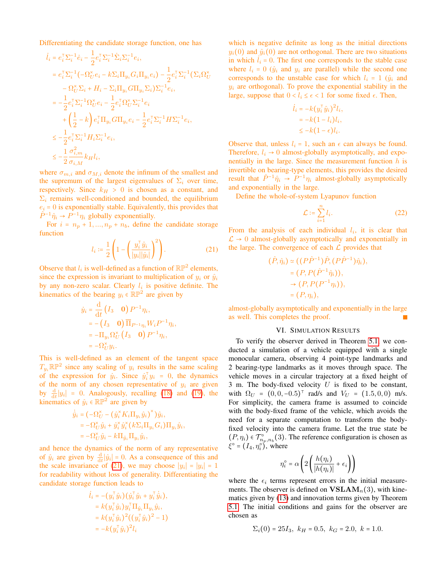Differentiating the candidate storage function, one has

$$
\begin{split} \dot{l}_i &= e_i^{\top} \Sigma_i^{-1} \dot{e}_i - \frac{1}{2} e_i^{\top} \Sigma_i^{-1} \dot{\Sigma}_i \Sigma_i^{-1} e_i, \\ &= e_i^{\top} \Sigma_i^{-1} \left( -\Omega_U^{\times} e_i - k \Sigma_i \Pi_{y_i} G_i \Pi_{y_i} e_i \right) - \frac{1}{2} e_i^{\top} \Sigma_i^{-1} \left( \Sigma_i \Omega_U^{\times} - \Omega_U^{\times} \Sigma_i + H_i - \Sigma_i \Pi_{y_i} G \Pi_{y_i} \Sigma_i \right) \Sigma_i^{-1} e_i, \\ &= -\frac{1}{2} e_i^{\top} \Sigma_i^{-1} \Omega_U^{\times} e_i - \frac{1}{2} e_i^{\top} \Omega_U^{\times} \Sigma_i^{-1} e_i \\ &+ \left( \frac{1}{2} - k \right) e_i^{\top} \Pi_{y_i} G \Pi_{y_i} e_i - \frac{1}{2} e_i^{\top} \Sigma_i^{-1} H \Sigma_i^{-1} e_i, \\ &\leq -\frac{1}{2} e_i^{\top} \Sigma_i^{-1} H_i \Sigma_i^{-1} e_i, \\ &\leq -\frac{1}{2} \frac{\sigma_{i,m}^2}{\sigma_{i,M}} k_H l_i, \end{split}
$$

where  $\sigma_{m,i}$  and  $\sigma_{M,i}$  denote the infinum of the smallest and the supremum of the largest eigenvalues of  $\Sigma_i$  over time, respectively. Since  $k_H > 0$  is chosen as a constant, and  $\Sigma_i$  remains well-conditioned and bounded, the equilibrium  $e_i = 0$  is exponentially stable. Equivalently, this provides that  $\hat{P}^{-1}\hat{\eta}_i \rightarrow \hat{P}^{-1}\eta_i$  globally exponentially.

For  $i = n_p + 1, ..., n_p + n_b$ , define the candidate storage function

$$
l_i \coloneqq \frac{1}{2} \left( 1 - \left( \frac{y_i^{\mathsf{T}} \hat{y}_i}{|y_i| \hat{y}_i|} \right)^2 \right). \tag{21}
$$

Observe that  $l_i$  is well-defined as a function of  $\mathbb{RP}^2$  elements, since the expression is invariant to multiplication of  $y_i$  or  $\hat{y}_i$ by any non-zero scalar. Clearly  $l_i$  is positive definite. The kinematics of the bearing  $y_i \in \mathbb{RP}^2$  are given by

$$
\dot{y}_i = \frac{\mathrm{d}}{\mathrm{d}t} \begin{pmatrix} I_3 & \mathbf{0} \end{pmatrix} P^{-1} \eta_i,
$$
  
= -\left( I\_3 & \mathbf{0} \right) \overline{\Pi}\_{P^{-1} \eta\_i} W\_i P^{-1} \eta\_i,  
= -\Pi\_{y\_i} \Omega\_U^{\times} \begin{pmatrix} I\_3 & \mathbf{0} \end{pmatrix} P^{-1} \eta\_i,  
= -\Omega\_U^{\times} y\_i.

This is well-defined as an element of the tangent space  $T_{y_i} \mathbb{RP}^2$  since any scaling of  $y_i$  results in the same scaling of the expression for  $\dot{y}_i$ . Since  $\dot{y}_i^{\dagger} y_i = 0$ , the dynamics of the norm of any chosen representative of  $y_i$  are given by  $\frac{d}{dt}|y_i| = 0$ . Analogously, recalling [\(18\)](#page-4-8) and [\(19\)](#page-4-9), the kinematics of  $\hat{y}_i \in \mathbb{RP}^2$  are given by

$$
\dot{\hat{y}}_i = \left(-\Omega_U^{\times} - (\hat{y}_i^{\times} K_i \Pi_{y_i} \hat{y}_i)^{\times}\right) \hat{y}_i,\n= -\Omega_U^{\times} \hat{y}_i + \hat{y}_i^{\times} \hat{y}_i^{\times} (k\Sigma_i \Pi_{y_i} G_i) \Pi_{y_i} \hat{y}_i,\n= -\Omega_U^{\times} \hat{y}_i - k \Pi_{\hat{y}_i} \Pi_{y_i} \hat{y}_i,
$$

and hence the dynamics of the norm of any representative of  $\hat{y}_i$  are given by  $\frac{d}{dt}|\hat{y}_i| = 0$ . As a consequence of this and the scale invariance of [\(21\)](#page-5-1), we may choose  $|y_i| = |y_i| = 1$ for readability without loss of generality. Differentiating the candidate storage function leads to

$$
\begin{aligned} \dot{l}_i &= -(y_i^\top \hat{y}_i) (\dot{y}_i^\top \hat{y}_i + y_i^\top \dot{\hat{y}}_i), \\ &= k (y_i^\top \hat{y}_i) y_i^\top \Pi_{\hat{y}_i} \Pi_{y_i} \hat{y}_i, \\ &= k (y_i^\top \hat{y}_i)^2 ((y_i^\top \hat{y}_i)^2 - 1) \\ &= -k (y_i^\top \hat{y}_i)^2 l_i \end{aligned}
$$

which is negative definite as long as the initial directions  $y_i(0)$  and  $\hat{y}_i(0)$  are not orthogonal. There are two situations in which  $i_i = 0$ . The first one corresponds to the stable case where  $l_i = 0$  ( $\hat{y}_i$  and  $y_i$  are parallel) while the second one corresponds to the unstable case for which  $l_i = 1$  ( $\hat{y}_i$  and  $y_i$  are orthogonal). To prove the exponential stability in the large, suppose that  $0 < l_i \le \epsilon < 1$  for some fixed  $\epsilon$ . Then,

$$
i_i = -k(y_i^{\top} \hat{y}_i)^2 l_i,
$$
  
=  $-k(1 - l_i)l_i,$   
 $\leq -k(1 - \epsilon)l_i.$ 

Observe that, unless  $l_i = 1$ , such an  $\epsilon$  can always be found. Therefore,  $l_i \rightarrow 0$  almost-globally asymptotically, and exponentially in the large. Since the measurement function  $h$  is invertible on bearing-type elements, this provides the desired result that  $\hat{P}^{-1}\hat{\eta}_i \rightarrow \hat{P}^{-1}\eta_i$  almost-globally asymptotically and exponentially in the large.

Define the whole-of-system Lyapunov function

<span id="page-5-2"></span>
$$
\mathcal{L} \coloneqq \sum_{i=1}^{n} l_i. \tag{22}
$$

<span id="page-5-1"></span>From the analysis of each individual  $l_i$ , it is clear that  $\mathcal{L} \rightarrow 0$  almost-globally asymptotically and exponentially in the large. The convergence of each  $\mathcal L$  provides that

$$
(\hat{P}, \hat{\eta}_i) \simeq ((P\hat{P}^{-1})\hat{P}, (P\hat{P}^{-1})\hat{\eta}_i),
$$
  
=  $(P, P(\hat{P}^{-1}\hat{\eta}_i)),$   
 $\rightarrow (P, P(P^{-1}\eta_i)),$   
=  $(P, \eta_i),$ 

almost-globally asymptotically and exponentially in the large as well. This completes the proof.

## VI. SIMULATION RESULTS

<span id="page-5-0"></span>To verify the observer derived in Theorem [5.1,](#page-4-10) we conducted a simulation of a vehicle equipped with a single monocular camera, observing 4 point-type landmarks and 2 bearing-type landmarks as it moves through space. The vehicle moves in a circular trajectory at a fixed height of 3 m. The body-fixed velocity  $U$  is fixed to be constant, with  $\Omega_U = (0, 0, -0.5)^T$  rad/s and  $V_U = (1.5, 0, 0)$  m/s. For simplicity, the camera frame is assumed to coincide with the body-fixed frame of the vehicle, which avoids the need for a separate computation to transform the bodyfixed velocity into the camera frame. Let the true state be  $(P, \eta_i) \in \mathcal{T}_{n_p,n_b}^{\circ}(3)$ . The reference configuration is chosen as  $\xi^{\circ} = (I_4, \eta_i^{\circ})$ , where

$$
\eta_i^\circ = \alpha \left( 2 \left( \frac{h(\eta_i)}{|h(\eta_i)|} + \epsilon_i \right) \right)
$$

where the  $\epsilon_i$  terms represent errors in the initial measurements. The observer is defined on **, with kine**matics given by [\(13\)](#page-4-2) and innovation terms given by Theorem [5.1.](#page-4-10) The initial conditions and gains for the observer are chosen as

$$
\Sigma_i(0) = 25I_3
$$
,  $k_H = 0.5$ ,  $k_G = 2.0$ ,  $k = 1.0$ .